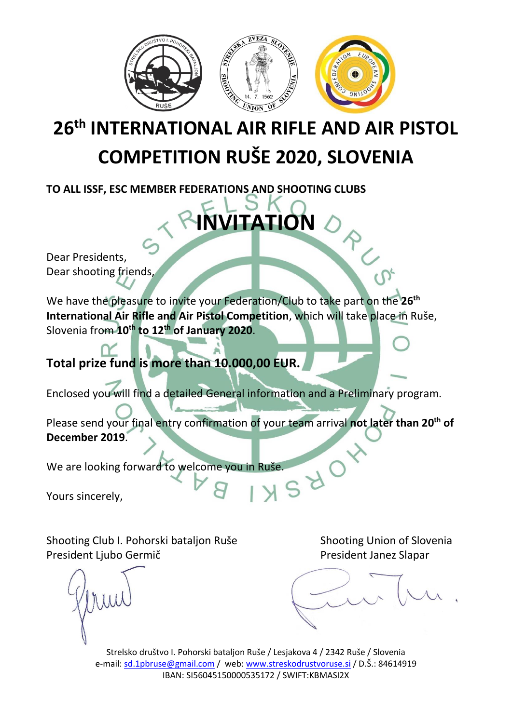

# **26 th INTERNATIONAL AIR RIFLE AND AIR PISTOL COMPETITION RUŠE 2020, SLOVENIA**

**TO ALL ISSF, ESC MEMBER FEDERATIONS AND SHOOTING CLUBS**

### Dear Presidents, Dear shooting friends,

We have the pleasure to invite your Federation/Club to take part on the **26 th International Air Rifle and Air Pistol Competition**, which will take place in Ruše, Slovenia from **10 th to 12 th of January 2020**.

**INVITATIO** 

## **Total prize fund is more than 10.000,00 EUR.**

Enclosed you will find a detailed General information and a Preliminary program.

Please send your final entry confirmation of your team arrival not later than 20<sup>th</sup> of **December 2019**.

We are looking forward to welcome you in Ruše.

Yours sincerely,

Shooting Club I. Pohorski bataljon Ruše Shooting Union of Slovenia President Ljubo Germič President Janez Slapar

Strelsko društvo I. Pohorski bataljon Ruše / Lesjakova 4 / 2342 Ruše / Slovenia e-mail: [sd.1pbruse@gmail.com](mailto:sd.1pbruse@gmail.com) / web: [www.streskodrustvoruse.si](http://www.streskodrustvoruse.si/) / D.Š.: 84614919 IBAN: SI56045150000535172 / SWIFT:KBMASI2X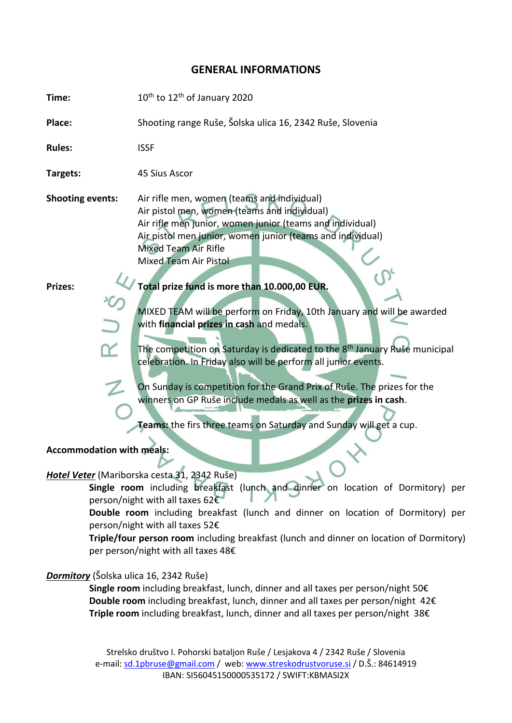#### **GENERAL INFORMATIONS**

**Time:** <sup>th</sup> to 12<sup>th</sup> of January 2020

**Place:** Shooting range Ruše, Šolska ulica 16, 2342 Ruše, Slovenia

**Rules:** ISSF

**Targets:** 45 Sius Ascor

**Shooting events:** Air rifle men, women (teams and individual) Air pistol men, women (teams and individual) Air rifle men junior, women junior (teams and individual) Air pistol men junior, women junior (teams and individual) Mixed Team Air Rifle Mixed Team Air Pistol

**Prizes: Total prize fund is more than 10.000,00 EUR.**

MIXED TEAM will be perform on Friday, 10th January and will be awarded with **financial prizes in cash** and medals.

The competition on Saturday is dedicated to the 8<sup>th</sup> January Ruše municipal celebration. In Friday also will be perform all junior events.

On Sunday is competition for the Grand Prix of Ruše. The prizes for the winners on GP Ruše include medals as well as the **prizes in cash**.

**Teams:** the firs three teams on Saturday and Sunday will get a cup.

#### **Accommodation with meals:**

#### *Hotel Veter* (Mariborska cesta 31, 2342 Ruše)

**Single room** including breakfast (lunch and dinner on location of Dormitory) per person/night with all taxes 62€

**Double room** including breakfast (lunch and dinner on location of Dormitory) per person/night with all taxes 52€

**Triple/four person room** including breakfast (lunch and dinner on location of Dormitory) per person/night with all taxes 48€

#### *Dormitory* (Šolska ulica 16, 2342 Ruše)

**Single room** including breakfast, lunch, dinner and all taxes per person/night 50€ **Double room** including breakfast, lunch, dinner and all taxes per person/night 42€ **Triple room** including breakfast, lunch, dinner and all taxes per person/night 38€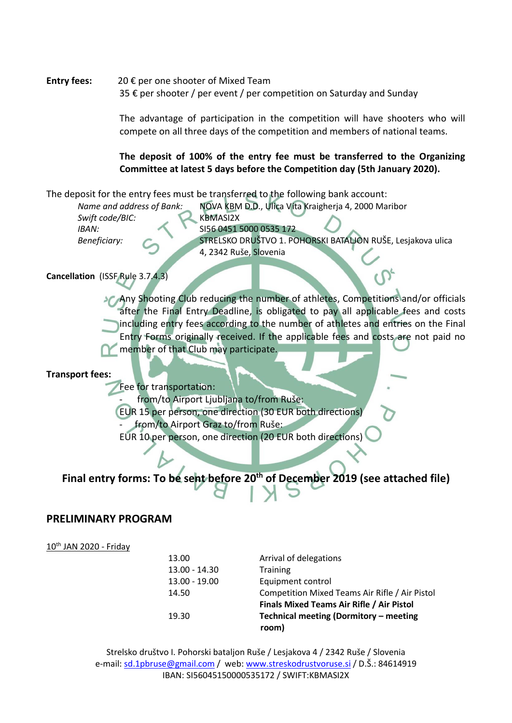**Entry fees:** 20 € per one shooter of Mixed Team 35 € per shooter / per event / per competition on Saturday and Sunday

> The advantage of participation in the competition will have shooters who will compete on all three days of the competition and members of national teams.

#### **The deposit of 100% of the entry fee must be transferred to the Organizing Committee at latest 5 days before the Competition day (5th January 2020).**

The deposit for the entry fees must be transferred to the following bank account:

*Name and address of Bank:* NOVA KBM D.D., Ulica Vita Kraigherja 4, 2000 Maribor *Swift code/BIC:* KBMASI2X

*IBAN:* SI56 0451 5000 0535 172

*Beneficiary:* STRELSKO DRUŠTVO 1. POHORSKI BATALJON RUŠE, Lesjakova ulica 4, 2342 Ruše, Slovenia

**Cancellation** (ISSF Rule 3.7.4.3)

Any Shooting Club reducing the number of athletes, Competitions and/or officials after the Final Entry Deadline, is obligated to pay all applicable fees and costs including entry fees according to the number of athletes and entries on the Final Entry Forms originally received. If the applicable fees and costs are not paid no member of that Club may participate.

#### **Transport fees:**

Fee for transportation: from/to Airport Ljubljana to/from Ruše: EUR 15 per person, one direction (30 EUR both directions) - from/to Airport Graz to/from Ruše: EUR 10 per person, one direction (20 EUR both directions)

**Final entry forms: To be sent before 20 th of December 2019 (see attached file)**

#### **PRELIMINARY PROGRAM**

#### 10<sup>th</sup> JAN 2020 - Friday

|  | 13.00           | Arrival of delegations                           |
|--|-----------------|--------------------------------------------------|
|  | 13.00 - 14.30   | <b>Training</b>                                  |
|  | $13.00 - 19.00$ | Equipment control                                |
|  | 14.50           | Competition Mixed Teams Air Rifle / Air Pistol   |
|  |                 | <b>Finals Mixed Teams Air Rifle / Air Pistol</b> |
|  | 19.30           | Technical meeting (Dormitory - meeting           |
|  |                 | room)                                            |

Strelsko društvo I. Pohorski bataljon Ruše / Lesjakova 4 / 2342 Ruše / Slovenia e-mail: [sd.1pbruse@gmail.com](mailto:sd.1pbruse@gmail.com) / web: [www.streskodrustvoruse.si](http://www.streskodrustvoruse.si/) / D.Š.: 84614919 IBAN: SI56045150000535172 / SWIFT:KBMASI2X